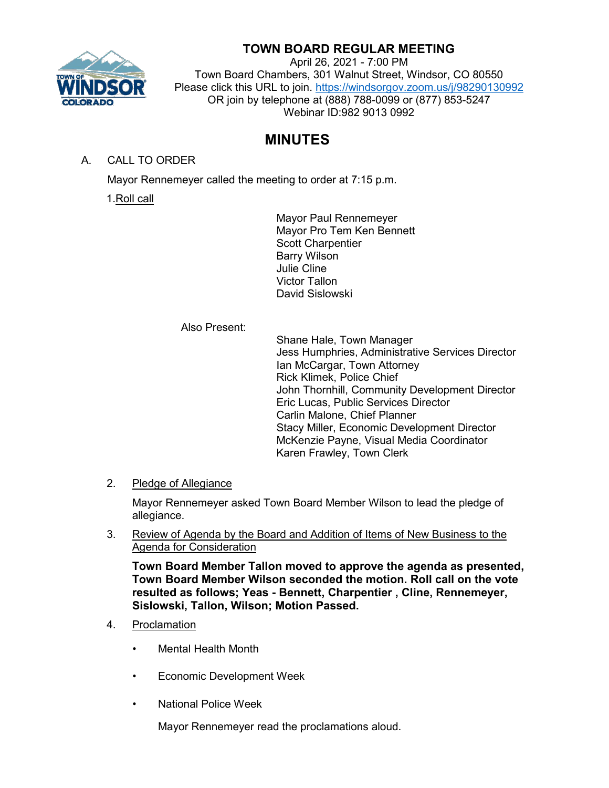

# **TOWN BOARD REGULAR MEETING**

April 26, 2021 - 7:00 PM Town Board Chambers, 301 Walnut Street, Windsor, CO 80550 Please click this URL to join. <https://windsorgov.zoom.us/j/98290130992> OR join by telephone at (888) 788-0099 or (877) 853-5247 Webinar ID:982 9013 0992

# **MINUTES**

A. CALL TO ORDER

Mayor Rennemeyer called the meeting to order at 7:15 p.m.

1.Roll call

Mayor Paul Rennemeyer Mayor Pro Tem Ken Bennett Scott Charpentier Barry Wilson Julie Cline Victor Tallon David Sislowski

Also Present:

Shane Hale, Town Manager Jess Humphries, Administrative Services Director Ian McCargar, Town Attorney Rick Klimek, Police Chief John Thornhill, Community Development Director Eric Lucas, Public Services Director Carlin Malone, Chief Planner Stacy Miller, Economic Development Director McKenzie Payne, Visual Media Coordinator Karen Frawley, Town Clerk

2. Pledge of Allegiance

Mayor Rennemeyer asked Town Board Member Wilson to lead the pledge of allegiance.

3. Review of Agenda by the Board and Addition of Items of New Business to the Agenda for Consideration

**Town Board Member Tallon moved to approve the agenda as presented, Town Board Member Wilson seconded the motion. Roll call on the vote resulted as follows; Yeas - Bennett, Charpentier , Cline, Rennemeyer, Sislowski, Tallon, Wilson; Motion Passed.**

- 4. Proclamation
	- Mental Health Month
	- Economic Development Week
	- National Police Week

Mayor Rennemeyer read the proclamations aloud.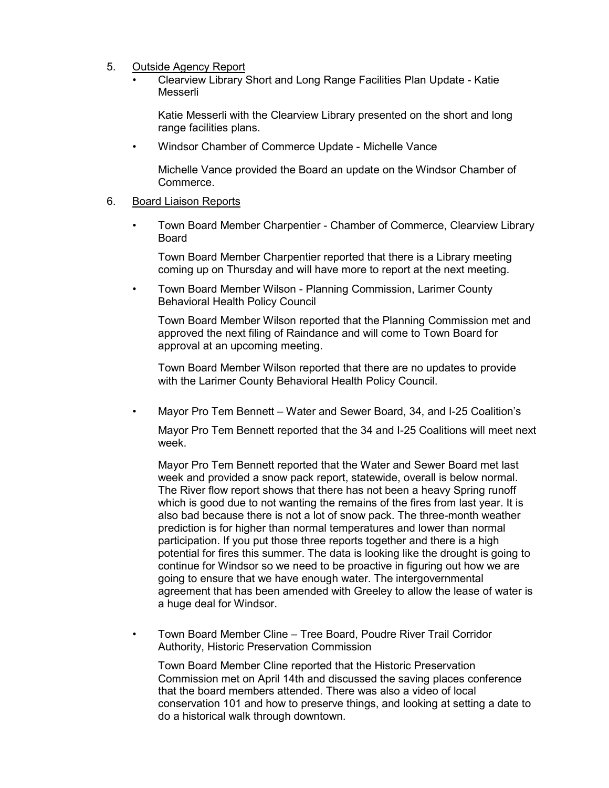- 5. Outside Agency Report
	- Clearview Library Short and Long Range Facilities Plan Update Katie Messerli

Katie Messerli with the Clearview Library presented on the short and long range facilities plans.

• Windsor Chamber of Commerce Update - Michelle Vance

Michelle Vance provided the Board an update on the Windsor Chamber of Commerce.

### 6. Board Liaison Reports

• Town Board Member Charpentier - Chamber of Commerce, Clearview Library Board

Town Board Member Charpentier reported that there is a Library meeting coming up on Thursday and will have more to report at the next meeting.

• Town Board Member Wilson - Planning Commission, Larimer County Behavioral Health Policy Council

Town Board Member Wilson reported that the Planning Commission met and approved the next filing of Raindance and will come to Town Board for approval at an upcoming meeting.

Town Board Member Wilson reported that there are no updates to provide with the Larimer County Behavioral Health Policy Council.

• Mayor Pro Tem Bennett – Water and Sewer Board, 34, and I-25 Coalition's

Mayor Pro Tem Bennett reported that the 34 and I-25 Coalitions will meet next week.

Mayor Pro Tem Bennett reported that the Water and Sewer Board met last week and provided a snow pack report, statewide, overall is below normal. The River flow report shows that there has not been a heavy Spring runoff which is good due to not wanting the remains of the fires from last year. It is also bad because there is not a lot of snow pack. The three-month weather prediction is for higher than normal temperatures and lower than normal participation. If you put those three reports together and there is a high potential for fires this summer. The data is looking like the drought is going to continue for Windsor so we need to be proactive in figuring out how we are going to ensure that we have enough water. The intergovernmental agreement that has been amended with Greeley to allow the lease of water is a huge deal for Windsor.

• Town Board Member Cline – Tree Board, Poudre River Trail Corridor Authority, Historic Preservation Commission

Town Board Member Cline reported that the Historic Preservation Commission met on April 14th and discussed the saving places conference that the board members attended. There was also a video of local conservation 101 and how to preserve things, and looking at setting a date to do a historical walk through downtown.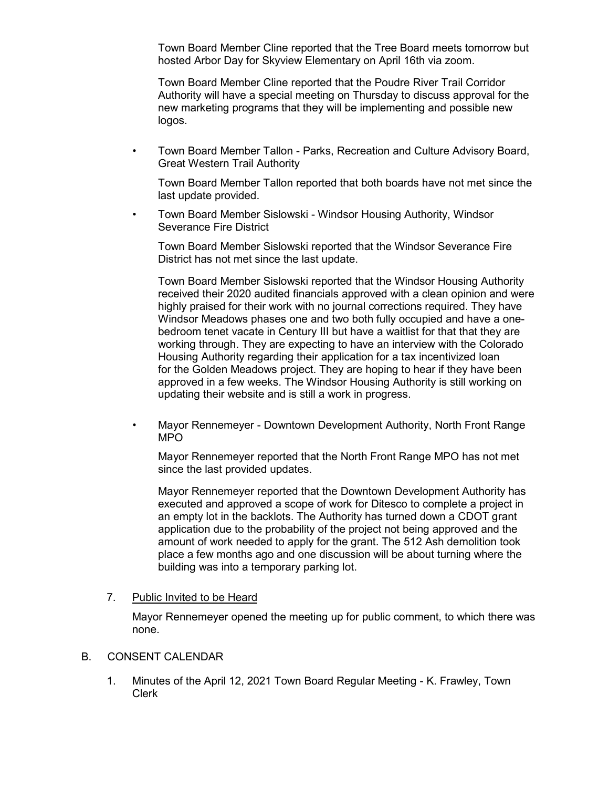Town Board Member Cline reported that the Tree Board meets tomorrow but hosted Arbor Day for Skyview Elementary on April 16th via zoom.

Town Board Member Cline reported that the Poudre River Trail Corridor Authority will have a special meeting on Thursday to discuss approval for the new marketing programs that they will be implementing and possible new logos.

• Town Board Member Tallon - Parks, Recreation and Culture Advisory Board, Great Western Trail Authority

Town Board Member Tallon reported that both boards have not met since the last update provided.

• Town Board Member Sislowski - Windsor Housing Authority, Windsor Severance Fire District

Town Board Member Sislowski reported that the Windsor Severance Fire District has not met since the last update.

Town Board Member Sislowski reported that the Windsor Housing Authority received their 2020 audited financials approved with a clean opinion and were highly praised for their work with no journal corrections required. They have Windsor Meadows phases one and two both fully occupied and have a onebedroom tenet vacate in Century III but have a waitlist for that that they are working through. They are expecting to have an interview with the Colorado Housing Authority regarding their application for a tax incentivized loan for the Golden Meadows project. They are hoping to hear if they have been approved in a few weeks. The Windsor Housing Authority is still working on updating their website and is still a work in progress.

• Mayor Rennemeyer - Downtown Development Authority, North Front Range MPO

Mayor Rennemeyer reported that the North Front Range MPO has not met since the last provided updates.

Mayor Rennemeyer reported that the Downtown Development Authority has executed and approved a scope of work for Ditesco to complete a project in an empty lot in the backlots. The Authority has turned down a CDOT grant application due to the probability of the project not being approved and the amount of work needed to apply for the grant. The 512 Ash demolition took place a few months ago and one discussion will be about turning where the building was into a temporary parking lot.

#### 7. Public Invited to be Heard

Mayor Rennemeyer opened the meeting up for public comment, to which there was none.

## B. CONSENT CALENDAR

1. Minutes of the April 12, 2021 Town Board Regular Meeting - K. Frawley, Town Clerk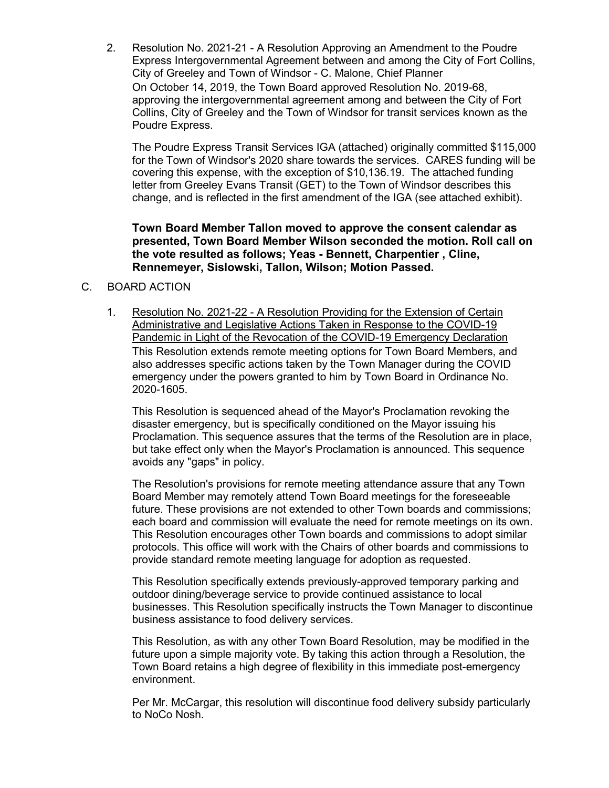2. Resolution No. 2021-21 - A Resolution Approving an Amendment to the Poudre Express Intergovernmental Agreement between and among the City of Fort Collins, City of Greeley and Town of Windsor - C. Malone, Chief Planner On October 14, 2019, the Town Board approved Resolution No. 2019-68, approving the intergovernmental agreement among and between the City of Fort Collins, City of Greeley and the Town of Windsor for transit services known as the Poudre Express.

The Poudre Express Transit Services IGA (attached) originally committed \$115,000 for the Town of Windsor's 2020 share towards the services. CARES funding will be covering this expense, with the exception of \$10,136.19. The attached funding letter from Greeley Evans Transit (GET) to the Town of Windsor describes this change, and is reflected in the first amendment of the IGA (see attached exhibit).

**Town Board Member Tallon moved to approve the consent calendar as presented, Town Board Member Wilson seconded the motion. Roll call on the vote resulted as follows; Yeas - Bennett, Charpentier , Cline, Rennemeyer, Sislowski, Tallon, Wilson; Motion Passed.**

## C. BOARD ACTION

1. Resolution No. 2021-22 - A Resolution Providing for the Extension of Certain Administrative and Legislative Actions Taken in Response to the COVID-19 Pandemic in Light of the Revocation of the COVID-19 Emergency Declaration This Resolution extends remote meeting options for Town Board Members, and also addresses specific actions taken by the Town Manager during the COVID emergency under the powers granted to him by Town Board in Ordinance No. 2020-1605.

This Resolution is sequenced ahead of the Mayor's Proclamation revoking the disaster emergency, but is specifically conditioned on the Mayor issuing his Proclamation. This sequence assures that the terms of the Resolution are in place, but take effect only when the Mayor's Proclamation is announced. This sequence avoids any "gaps" in policy.

The Resolution's provisions for remote meeting attendance assure that any Town Board Member may remotely attend Town Board meetings for the foreseeable future. These provisions are not extended to other Town boards and commissions; each board and commission will evaluate the need for remote meetings on its own. This Resolution encourages other Town boards and commissions to adopt similar protocols. This office will work with the Chairs of other boards and commissions to provide standard remote meeting language for adoption as requested.

This Resolution specifically extends previously-approved temporary parking and outdoor dining/beverage service to provide continued assistance to local businesses. This Resolution specifically instructs the Town Manager to discontinue business assistance to food delivery services.

This Resolution, as with any other Town Board Resolution, may be modified in the future upon a simple majority vote. By taking this action through a Resolution, the Town Board retains a high degree of flexibility in this immediate post-emergency environment.

Per Mr. McCargar, this resolution will discontinue food delivery subsidy particularly to NoCo Nosh.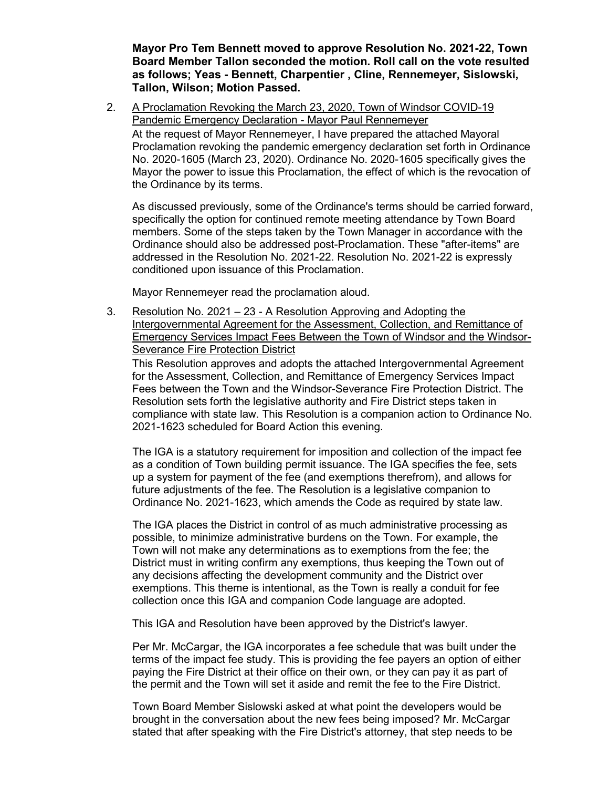**Mayor Pro Tem Bennett moved to approve Resolution No. 2021-22, Town Board Member Tallon seconded the motion. Roll call on the vote resulted as follows; Yeas - Bennett, Charpentier , Cline, Rennemeyer, Sislowski, Tallon, Wilson; Motion Passed.**

2. A Proclamation Revoking the March 23, 2020, Town of Windsor COVID-19 Pandemic Emergency Declaration - Mayor Paul Rennemeyer At the request of Mayor Rennemeyer, I have prepared the attached Mayoral Proclamation revoking the pandemic emergency declaration set forth in Ordinance No. 2020-1605 (March 23, 2020). Ordinance No. 2020-1605 specifically gives the Mayor the power to issue this Proclamation, the effect of which is the revocation of the Ordinance by its terms.

As discussed previously, some of the Ordinance's terms should be carried forward, specifically the option for continued remote meeting attendance by Town Board members. Some of the steps taken by the Town Manager in accordance with the Ordinance should also be addressed post-Proclamation. These "after-items" are addressed in the Resolution No. 2021-22. Resolution No. 2021-22 is expressly conditioned upon issuance of this Proclamation.

Mayor Rennemeyer read the proclamation aloud.

3. Resolution No. 2021 – 23 - A Resolution Approving and Adopting the Intergovernmental Agreement for the Assessment, Collection, and Remittance of Emergency Services Impact Fees Between the Town of Windsor and the Windsor-Severance Fire Protection District

This Resolution approves and adopts the attached Intergovernmental Agreement for the Assessment, Collection, and Remittance of Emergency Services Impact Fees between the Town and the Windsor-Severance Fire Protection District. The Resolution sets forth the legislative authority and Fire District steps taken in compliance with state law. This Resolution is a companion action to Ordinance No. 2021-1623 scheduled for Board Action this evening.

The IGA is a statutory requirement for imposition and collection of the impact fee as a condition of Town building permit issuance. The IGA specifies the fee, sets up a system for payment of the fee (and exemptions therefrom), and allows for future adjustments of the fee. The Resolution is a legislative companion to Ordinance No. 2021-1623, which amends the Code as required by state law.

The IGA places the District in control of as much administrative processing as possible, to minimize administrative burdens on the Town. For example, the Town will not make any determinations as to exemptions from the fee; the District must in writing confirm any exemptions, thus keeping the Town out of any decisions affecting the development community and the District over exemptions. This theme is intentional, as the Town is really a conduit for fee collection once this IGA and companion Code language are adopted.

This IGA and Resolution have been approved by the District's lawyer.

Per Mr. McCargar, the IGA incorporates a fee schedule that was built under the terms of the impact fee study. This is providing the fee payers an option of either paying the Fire District at their office on their own, or they can pay it as part of the permit and the Town will set it aside and remit the fee to the Fire District.

Town Board Member Sislowski asked at what point the developers would be brought in the conversation about the new fees being imposed? Mr. McCargar stated that after speaking with the Fire District's attorney, that step needs to be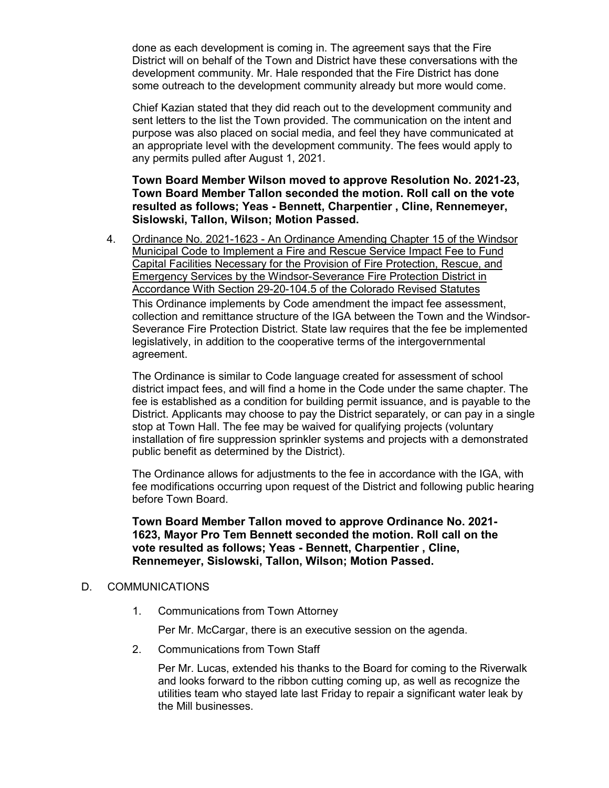done as each development is coming in. The agreement says that the Fire District will on behalf of the Town and District have these conversations with the development community. Mr. Hale responded that the Fire District has done some outreach to the development community already but more would come.

Chief Kazian stated that they did reach out to the development community and sent letters to the list the Town provided. The communication on the intent and purpose was also placed on social media, and feel they have communicated at an appropriate level with the development community. The fees would apply to any permits pulled after August 1, 2021.

**Town Board Member Wilson moved to approve Resolution No. 2021-23, Town Board Member Tallon seconded the motion. Roll call on the vote resulted as follows; Yeas - Bennett, Charpentier , Cline, Rennemeyer, Sislowski, Tallon, Wilson; Motion Passed.**

4. Ordinance No. 2021-1623 - An Ordinance Amending Chapter 15 of the Windsor Municipal Code to Implement a Fire and Rescue Service Impact Fee to Fund Capital Facilities Necessary for the Provision of Fire Protection, Rescue, and Emergency Services by the Windsor-Severance Fire Protection District in Accordance With Section 29-20-104.5 of the Colorado Revised Statutes This Ordinance implements by Code amendment the impact fee assessment, collection and remittance structure of the IGA between the Town and the Windsor-Severance Fire Protection District. State law requires that the fee be implemented legislatively, in addition to the cooperative terms of the intergovernmental agreement.

The Ordinance is similar to Code language created for assessment of school district impact fees, and will find a home in the Code under the same chapter. The fee is established as a condition for building permit issuance, and is payable to the District. Applicants may choose to pay the District separately, or can pay in a single stop at Town Hall. The fee may be waived for qualifying projects (voluntary installation of fire suppression sprinkler systems and projects with a demonstrated public benefit as determined by the District).

The Ordinance allows for adjustments to the fee in accordance with the IGA, with fee modifications occurring upon request of the District and following public hearing before Town Board.

**Town Board Member Tallon moved to approve Ordinance No. 2021- 1623, Mayor Pro Tem Bennett seconded the motion. Roll call on the vote resulted as follows; Yeas - Bennett, Charpentier , Cline, Rennemeyer, Sislowski, Tallon, Wilson; Motion Passed.**

## D. COMMUNICATIONS

1. Communications from Town Attorney

Per Mr. McCargar, there is an executive session on the agenda.

2. Communications from Town Staff

Per Mr. Lucas, extended his thanks to the Board for coming to the Riverwalk and looks forward to the ribbon cutting coming up, as well as recognize the utilities team who stayed late last Friday to repair a significant water leak by the Mill businesses.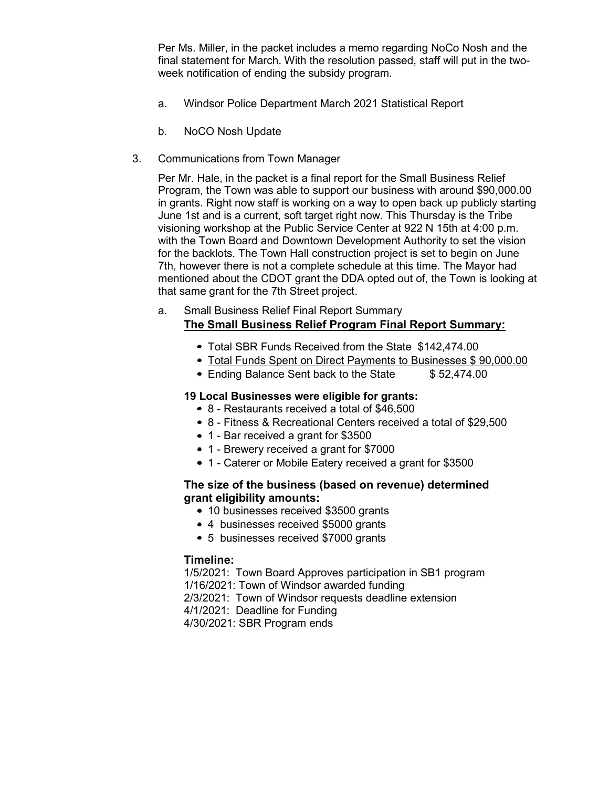Per Ms. Miller, in the packet includes a memo regarding NoCo Nosh and the final statement for March. With the resolution passed, staff will put in the twoweek notification of ending the subsidy program.

- a. Windsor Police Department March 2021 Statistical Report
- b. NoCO Nosh Update
- 3. Communications from Town Manager

Per Mr. Hale, in the packet is a final report for the Small Business Relief Program, the Town was able to support our business with around \$90,000.00 in grants. Right now staff is working on a way to open back up publicly starting June 1st and is a current, soft target right now. This Thursday is the Tribe visioning workshop at the Public Service Center at 922 N 15th at 4:00 p.m. with the Town Board and Downtown Development Authority to set the vision for the backlots. The Town Hall construction project is set to begin on June 7th, however there is not a complete schedule at this time. The Mayor had mentioned about the CDOT grant the DDA opted out of, the Town is looking at that same grant for the 7th Street project.

### a. Small Business Relief Final Report Summary **The Small Business Relief Program Final Report Summary:**

- Total SBR Funds Received from the State \$142,474.00
- Total Funds Spent on Direct Payments to Businesses \$90,000.00
- Ending Balance Sent back to the State \$ 52,474.00

#### **19 Local Businesses were eligible for grants:**

- 8 Restaurants received a total of \$46,500
- 8 Fitness & Recreational Centers received a total of \$29,500
- 1 Bar received a grant for \$3500
- 1 Brewery received a grant for \$7000
- 1 Caterer or Mobile Eatery received a grant for \$3500

## **The size of the business (based on revenue) determined grant eligibility amounts:**

- 10 businesses received \$3500 grants
- 4 businesses received \$5000 grants
- 5 businesses received \$7000 grants

#### **Timeline:**

1/5/2021: Town Board Approves participation in SB1 program 1/16/2021: Town of Windsor awarded funding 2/3/2021: Town of Windsor requests deadline extension 4/1/2021: Deadline for Funding

4/30/2021: SBR Program ends